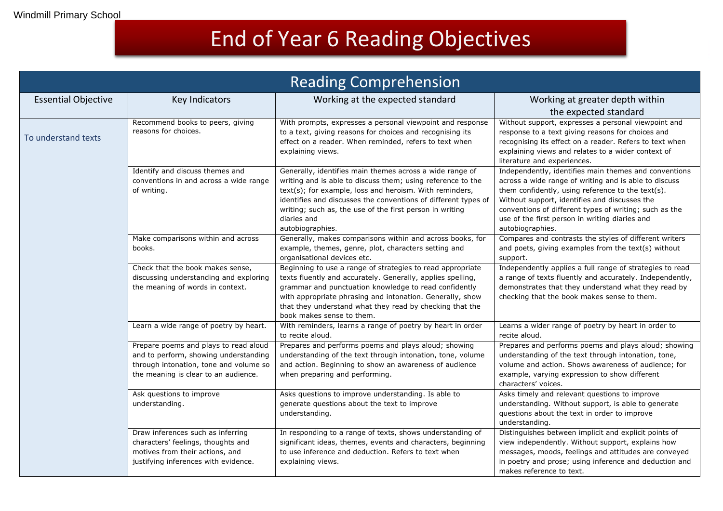## End of Year 6 Reading Objectives

| <b>Reading Comprehension</b> |                                                                                                                                                                  |                                                                                                                                                                                                                                                                                                                                                     |                                                                                                                                                                                                                                                                                                                                                      |  |  |  |
|------------------------------|------------------------------------------------------------------------------------------------------------------------------------------------------------------|-----------------------------------------------------------------------------------------------------------------------------------------------------------------------------------------------------------------------------------------------------------------------------------------------------------------------------------------------------|------------------------------------------------------------------------------------------------------------------------------------------------------------------------------------------------------------------------------------------------------------------------------------------------------------------------------------------------------|--|--|--|
| <b>Essential Objective</b>   | Key Indicators                                                                                                                                                   | Working at the expected standard                                                                                                                                                                                                                                                                                                                    | Working at greater depth within<br>the expected standard                                                                                                                                                                                                                                                                                             |  |  |  |
| To understand texts          | Recommend books to peers, giving<br>reasons for choices.                                                                                                         | With prompts, expresses a personal viewpoint and response<br>to a text, giving reasons for choices and recognising its<br>effect on a reader. When reminded, refers to text when<br>explaining views.                                                                                                                                               | Without support, expresses a personal viewpoint and<br>response to a text giving reasons for choices and<br>recognising its effect on a reader. Refers to text when<br>explaining views and relates to a wider context of<br>literature and experiences.                                                                                             |  |  |  |
|                              | Identify and discuss themes and<br>conventions in and across a wide range<br>of writing.                                                                         | Generally, identifies main themes across a wide range of<br>writing and is able to discuss them; using reference to the<br>text(s); for example, loss and heroism. With reminders,<br>identifies and discusses the conventions of different types of<br>writing; such as, the use of the first person in writing<br>diaries and<br>autobiographies. | Independently, identifies main themes and conventions<br>across a wide range of writing and is able to discuss<br>them confidently, using reference to the text(s).<br>Without support, identifies and discusses the<br>conventions of different types of writing; such as the<br>use of the first person in writing diaries and<br>autobiographies. |  |  |  |
|                              | Make comparisons within and across<br>books.                                                                                                                     | Generally, makes comparisons within and across books, for<br>example, themes, genre, plot, characters setting and<br>organisational devices etc.                                                                                                                                                                                                    | Compares and contrasts the styles of different writers<br>and poets, giving examples from the text(s) without<br>support.                                                                                                                                                                                                                            |  |  |  |
|                              | Check that the book makes sense,<br>discussing understanding and exploring<br>the meaning of words in context.                                                   | Beginning to use a range of strategies to read appropriate<br>texts fluently and accurately. Generally, applies spelling,<br>grammar and punctuation knowledge to read confidently<br>with appropriate phrasing and intonation. Generally, show<br>that they understand what they read by checking that the<br>book makes sense to them.            | Independently applies a full range of strategies to read<br>a range of texts fluently and accurately. Independently,<br>demonstrates that they understand what they read by<br>checking that the book makes sense to them.                                                                                                                           |  |  |  |
|                              | Learn a wide range of poetry by heart.                                                                                                                           | With reminders, learns a range of poetry by heart in order<br>to recite aloud.                                                                                                                                                                                                                                                                      | Learns a wider range of poetry by heart in order to<br>recite aloud.                                                                                                                                                                                                                                                                                 |  |  |  |
|                              | Prepare poems and plays to read aloud<br>and to perform, showing understanding<br>through intonation, tone and volume so<br>the meaning is clear to an audience. | Prepares and performs poems and plays aloud; showing<br>understanding of the text through intonation, tone, volume<br>and action. Beginning to show an awareness of audience<br>when preparing and performing.                                                                                                                                      | Prepares and performs poems and plays aloud; showing<br>understanding of the text through intonation, tone,<br>volume and action. Shows awareness of audience; for<br>example, varying expression to show different<br>characters' voices.                                                                                                           |  |  |  |
|                              | Ask questions to improve<br>understanding.                                                                                                                       | Asks questions to improve understanding. Is able to<br>generate questions about the text to improve<br>understanding.                                                                                                                                                                                                                               | Asks timely and relevant questions to improve<br>understanding. Without support, is able to generate<br>questions about the text in order to improve<br>understanding.                                                                                                                                                                               |  |  |  |
|                              | Draw inferences such as inferring<br>characters' feelings, thoughts and<br>motives from their actions, and<br>justifying inferences with evidence.               | In responding to a range of texts, shows understanding of<br>significant ideas, themes, events and characters, beginning<br>to use inference and deduction. Refers to text when<br>explaining views.                                                                                                                                                | Distinguishes between implicit and explicit points of<br>view independently. Without support, explains how<br>messages, moods, feelings and attitudes are conveyed<br>in poetry and prose; using inference and deduction and<br>makes reference to text.                                                                                             |  |  |  |